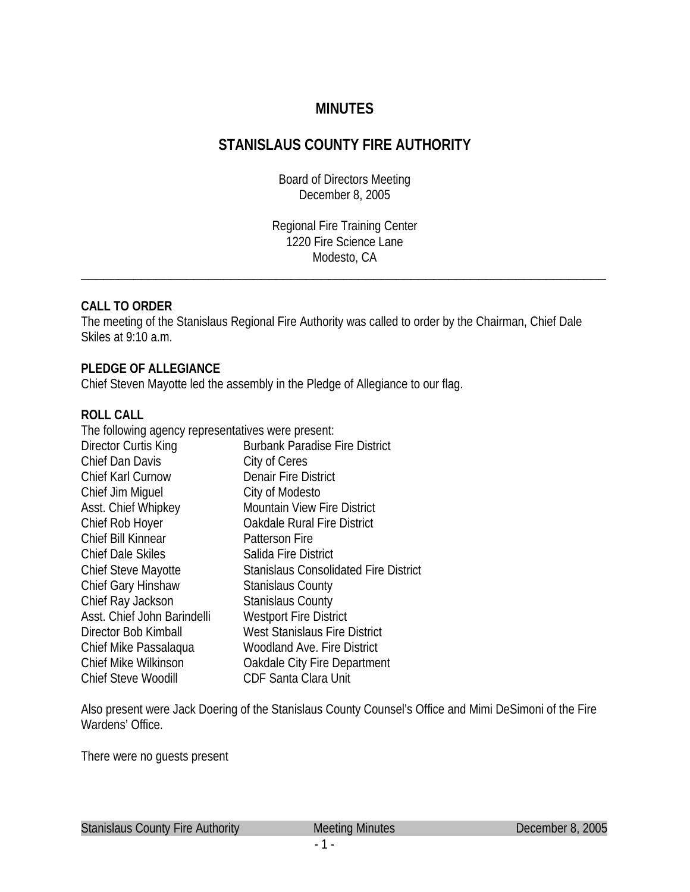# **MINUTES**

# **STANISLAUS COUNTY FIRE AUTHORITY**

Board of Directors Meeting December 8, 2005

Regional Fire Training Center 1220 Fire Science Lane Modesto, CA \_\_\_\_\_\_\_\_\_\_\_\_\_\_\_\_\_\_\_\_\_\_\_\_\_\_\_\_\_\_\_\_\_\_\_\_\_\_\_\_\_\_\_\_\_\_\_\_\_\_\_\_\_\_\_\_\_\_\_\_\_\_\_\_\_\_\_\_\_\_

### **CALL TO ORDER**

The meeting of the Stanislaus Regional Fire Authority was called to order by the Chairman, Chief Dale Skiles at 9:10 a.m.

### **PLEDGE OF ALLEGIANCE**

Chief Steven Mayotte led the assembly in the Pledge of Allegiance to our flag.

#### **ROLL CALL**

| The following agency representatives were present: |  |
|----------------------------------------------------|--|
| <b>Burbank Paradise Fire District</b>              |  |
| City of Ceres                                      |  |
| <b>Denair Fire District</b>                        |  |
| City of Modesto                                    |  |
| <b>Mountain View Fire District</b>                 |  |
| <b>Oakdale Rural Fire District</b>                 |  |
| <b>Patterson Fire</b>                              |  |
| Salida Fire District                               |  |
| <b>Stanislaus Consolidated Fire District</b>       |  |
| <b>Stanislaus County</b>                           |  |
| <b>Stanislaus County</b>                           |  |
| <b>Westport Fire District</b>                      |  |
| West Stanislaus Fire District                      |  |
| <b>Woodland Ave. Fire District</b>                 |  |
| Oakdale City Fire Department                       |  |
| CDF Santa Clara Unit                               |  |
|                                                    |  |

Also present were Jack Doering of the Stanislaus County Counsel's Office and Mimi DeSimoni of the Fire Wardens' Office.

There were no guests present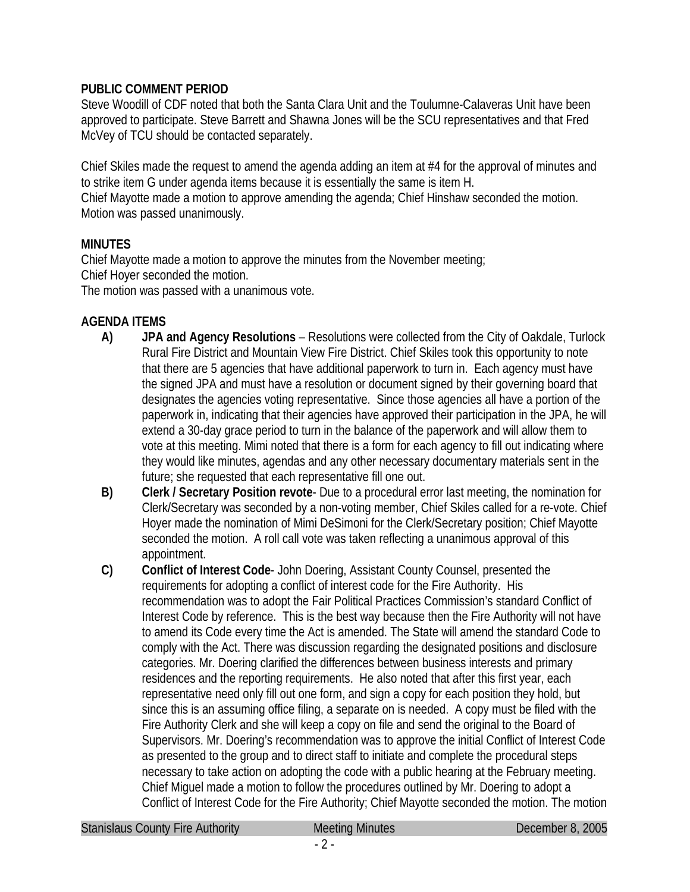### **PUBLIC COMMENT PERIOD**

Steve Woodill of CDF noted that both the Santa Clara Unit and the Toulumne-Calaveras Unit have been approved to participate. Steve Barrett and Shawna Jones will be the SCU representatives and that Fred McVey of TCU should be contacted separately.

Chief Skiles made the request to amend the agenda adding an item at #4 for the approval of minutes and to strike item G under agenda items because it is essentially the same is item H. Chief Mayotte made a motion to approve amending the agenda; Chief Hinshaw seconded the motion. Motion was passed unanimously.

# **MINUTES**

Chief Mayotte made a motion to approve the minutes from the November meeting; Chief Hoyer seconded the motion.

The motion was passed with a unanimous vote.

# **AGENDA ITEMS**

- **A) JPA and Agency Resolutions** Resolutions were collected from the City of Oakdale, Turlock Rural Fire District and Mountain View Fire District. Chief Skiles took this opportunity to note that there are 5 agencies that have additional paperwork to turn in. Each agency must have the signed JPA and must have a resolution or document signed by their governing board that designates the agencies voting representative. Since those agencies all have a portion of the paperwork in, indicating that their agencies have approved their participation in the JPA, he will extend a 30-day grace period to turn in the balance of the paperwork and will allow them to vote at this meeting. Mimi noted that there is a form for each agency to fill out indicating where they would like minutes, agendas and any other necessary documentary materials sent in the future; she requested that each representative fill one out.
- **B) Clerk / Secretary Position revote** Due to a procedural error last meeting, the nomination for Clerk/Secretary was seconded by a non-voting member, Chief Skiles called for a re-vote. Chief Hoyer made the nomination of Mimi DeSimoni for the Clerk/Secretary position; Chief Mayotte seconded the motion. A roll call vote was taken reflecting a unanimous approval of this appointment.
- **C) Conflict of Interest Code** John Doering, Assistant County Counsel, presented the requirements for adopting a conflict of interest code for the Fire Authority. His recommendation was to adopt the Fair Political Practices Commission's standard Conflict of Interest Code by reference. This is the best way because then the Fire Authority will not have to amend its Code every time the Act is amended. The State will amend the standard Code to comply with the Act. There was discussion regarding the designated positions and disclosure categories. Mr. Doering clarified the differences between business interests and primary residences and the reporting requirements. He also noted that after this first year, each representative need only fill out one form, and sign a copy for each position they hold, but since this is an assuming office filing, a separate on is needed. A copy must be filed with the Fire Authority Clerk and she will keep a copy on file and send the original to the Board of Supervisors. Mr. Doering's recommendation was to approve the initial Conflict of Interest Code as presented to the group and to direct staff to initiate and complete the procedural steps necessary to take action on adopting the code with a public hearing at the February meeting. Chief Miguel made a motion to follow the procedures outlined by Mr. Doering to adopt a Conflict of Interest Code for the Fire Authority; Chief Mayotte seconded the motion. The motion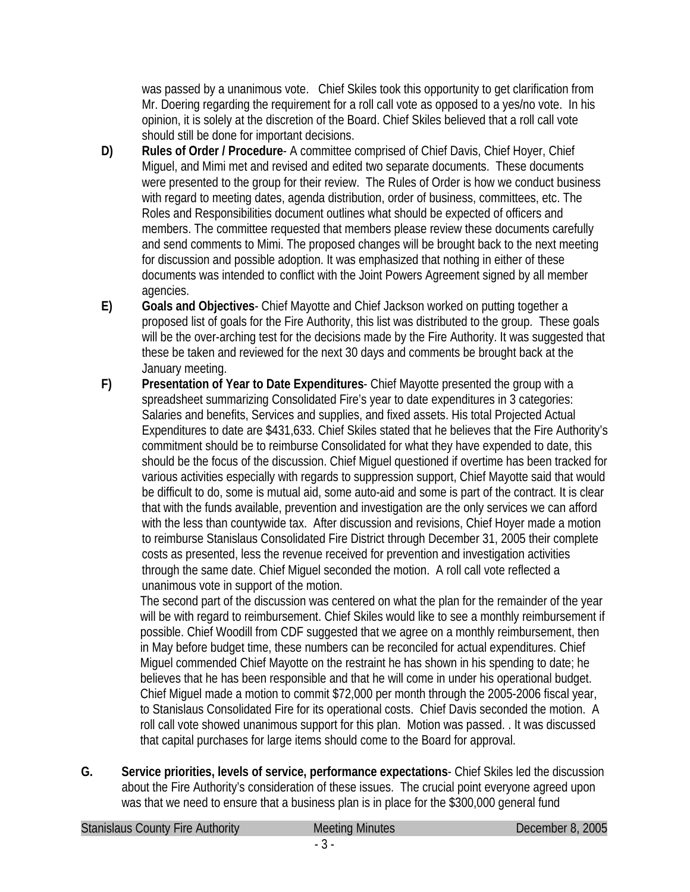was passed by a unanimous vote. Chief Skiles took this opportunity to get clarification from Mr. Doering regarding the requirement for a roll call vote as opposed to a yes/no vote. In his opinion, it is solely at the discretion of the Board. Chief Skiles believed that a roll call vote should still be done for important decisions.

- **D) Rules of Order / Procedure** A committee comprised of Chief Davis, Chief Hoyer, Chief Miguel, and Mimi met and revised and edited two separate documents. These documents were presented to the group for their review. The Rules of Order is how we conduct business with regard to meeting dates, agenda distribution, order of business, committees, etc. The Roles and Responsibilities document outlines what should be expected of officers and members. The committee requested that members please review these documents carefully and send comments to Mimi. The proposed changes will be brought back to the next meeting for discussion and possible adoption. It was emphasized that nothing in either of these documents was intended to conflict with the Joint Powers Agreement signed by all member agencies.
- **E) Goals and Objectives** Chief Mayotte and Chief Jackson worked on putting together a proposed list of goals for the Fire Authority, this list was distributed to the group. These goals will be the over-arching test for the decisions made by the Fire Authority. It was suggested that these be taken and reviewed for the next 30 days and comments be brought back at the January meeting.
- **F) Presentation of Year to Date Expenditures** Chief Mayotte presented the group with a spreadsheet summarizing Consolidated Fire's year to date expenditures in 3 categories: Salaries and benefits, Services and supplies, and fixed assets. His total Projected Actual Expenditures to date are \$431,633. Chief Skiles stated that he believes that the Fire Authority's commitment should be to reimburse Consolidated for what they have expended to date, this should be the focus of the discussion. Chief Miguel questioned if overtime has been tracked for various activities especially with regards to suppression support, Chief Mayotte said that would be difficult to do, some is mutual aid, some auto-aid and some is part of the contract. It is clear that with the funds available, prevention and investigation are the only services we can afford with the less than countywide tax. After discussion and revisions, Chief Hoyer made a motion to reimburse Stanislaus Consolidated Fire District through December 31, 2005 their complete costs as presented, less the revenue received for prevention and investigation activities through the same date. Chief Miguel seconded the motion. A roll call vote reflected a unanimous vote in support of the motion.

The second part of the discussion was centered on what the plan for the remainder of the year will be with regard to reimbursement. Chief Skiles would like to see a monthly reimbursement if possible. Chief Woodill from CDF suggested that we agree on a monthly reimbursement, then in May before budget time, these numbers can be reconciled for actual expenditures. Chief Miguel commended Chief Mayotte on the restraint he has shown in his spending to date; he believes that he has been responsible and that he will come in under his operational budget. Chief Miguel made a motion to commit \$72,000 per month through the 2005-2006 fiscal year, to Stanislaus Consolidated Fire for its operational costs. Chief Davis seconded the motion. A roll call vote showed unanimous support for this plan. Motion was passed. . It was discussed that capital purchases for large items should come to the Board for approval.

**G. Service priorities, levels of service, performance expectations**- Chief Skiles led the discussion about the Fire Authority's consideration of these issues. The crucial point everyone agreed upon was that we need to ensure that a business plan is in place for the \$300,000 general fund